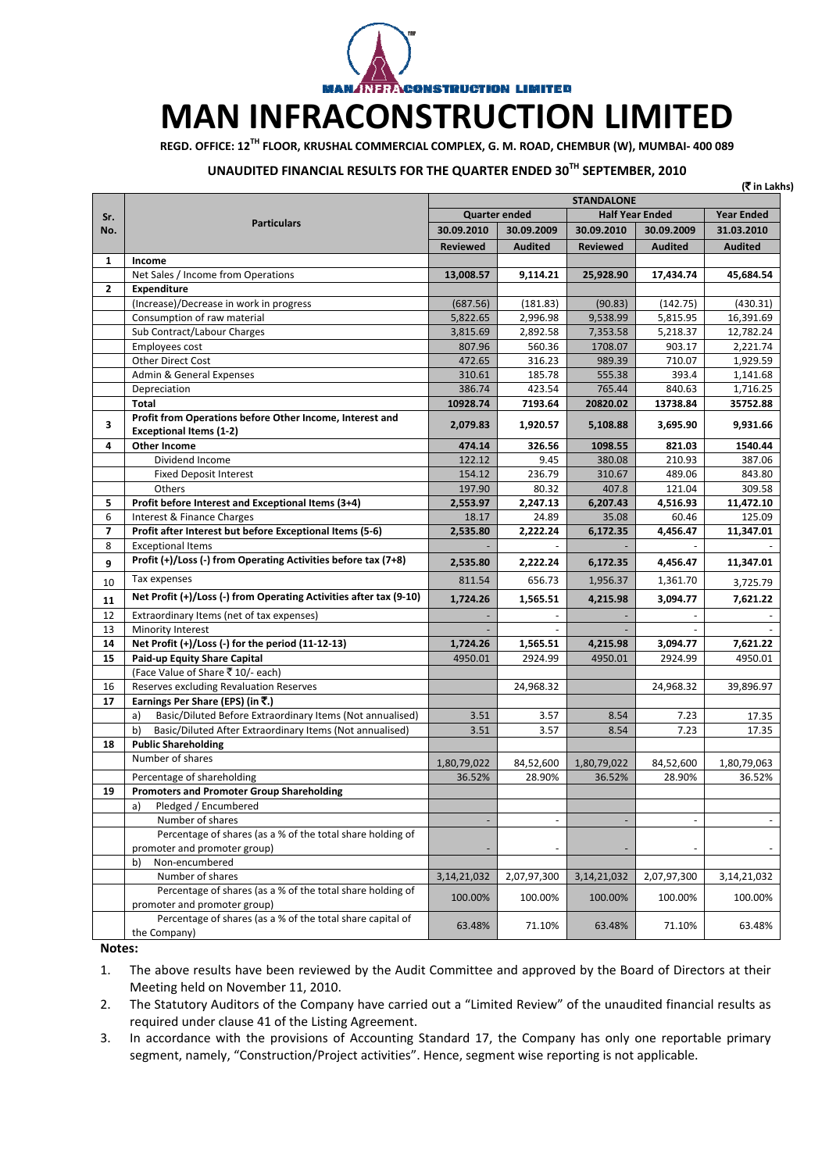

## **MAN INFRACONSTRUCTION LIMITED**

**REGD. OFFICE: 12TH FLOOR, KRUSHAL COMMERCIAL COMPLEX, G. M. ROAD, CHEMBUR (W), MUMBAI‐ 400 089**

## **UNAUDITED FINANCIAL RESULTS FOR THE QUARTER ENDED 30TH SEPTEMBER, 2010**

| <b>STANDALONE</b><br><b>Quarter ended</b><br><b>Half Year Ended</b><br>Sr.<br><b>Particulars</b><br>No.<br>30.09.2010<br>30.09.2009<br>30.09.2010<br>30.09.2009<br><b>Reviewed</b><br><b>Audited</b><br><b>Reviewed</b><br><b>Audited</b><br>1<br>Income<br>Net Sales / Income from Operations<br>13,008.57<br>9,114.21<br>25,928.90<br>17,434.74<br>$\mathbf{2}$<br><b>Expenditure</b><br>(Increase)/Decrease in work in progress<br>(687.56)<br>(181.83)<br>(90.83)<br>(142.75)<br>Consumption of raw material<br>2,996.98<br>9,538.99<br>5,815.95<br>5,822.65<br>Sub Contract/Labour Charges<br>3,815.69<br>2,892.58<br>7,353.58<br>5,218.37<br>Employees cost<br>807.96<br>560.36<br>1708.07<br>903.17<br><b>Other Direct Cost</b><br>472.65<br>316.23<br>989.39<br>710.07<br>185.78<br>Admin & General Expenses<br>310.61<br>555.38<br>393.4<br>Depreciation<br>386.74<br>423.54<br>765.44<br>840.63<br>10928.74<br>Total<br>7193.64<br>20820.02<br>13738.84<br>Profit from Operations before Other Income, Interest and<br>3<br>5,108.88<br>2,079.83<br>1,920.57<br>3,695.90<br><b>Exceptional Items (1-2)</b><br><b>Other Income</b><br>4<br>326.56<br>821.03<br>474.14<br>1098.55 | (₹ in Lakhs)      |
|-------------------------------------------------------------------------------------------------------------------------------------------------------------------------------------------------------------------------------------------------------------------------------------------------------------------------------------------------------------------------------------------------------------------------------------------------------------------------------------------------------------------------------------------------------------------------------------------------------------------------------------------------------------------------------------------------------------------------------------------------------------------------------------------------------------------------------------------------------------------------------------------------------------------------------------------------------------------------------------------------------------------------------------------------------------------------------------------------------------------------------------------------------------------------------------------|-------------------|
|                                                                                                                                                                                                                                                                                                                                                                                                                                                                                                                                                                                                                                                                                                                                                                                                                                                                                                                                                                                                                                                                                                                                                                                           |                   |
|                                                                                                                                                                                                                                                                                                                                                                                                                                                                                                                                                                                                                                                                                                                                                                                                                                                                                                                                                                                                                                                                                                                                                                                           | <b>Year Ended</b> |
|                                                                                                                                                                                                                                                                                                                                                                                                                                                                                                                                                                                                                                                                                                                                                                                                                                                                                                                                                                                                                                                                                                                                                                                           | 31.03.2010        |
|                                                                                                                                                                                                                                                                                                                                                                                                                                                                                                                                                                                                                                                                                                                                                                                                                                                                                                                                                                                                                                                                                                                                                                                           | <b>Audited</b>    |
|                                                                                                                                                                                                                                                                                                                                                                                                                                                                                                                                                                                                                                                                                                                                                                                                                                                                                                                                                                                                                                                                                                                                                                                           |                   |
|                                                                                                                                                                                                                                                                                                                                                                                                                                                                                                                                                                                                                                                                                                                                                                                                                                                                                                                                                                                                                                                                                                                                                                                           | 45,684.54         |
|                                                                                                                                                                                                                                                                                                                                                                                                                                                                                                                                                                                                                                                                                                                                                                                                                                                                                                                                                                                                                                                                                                                                                                                           |                   |
|                                                                                                                                                                                                                                                                                                                                                                                                                                                                                                                                                                                                                                                                                                                                                                                                                                                                                                                                                                                                                                                                                                                                                                                           | (430.31)          |
|                                                                                                                                                                                                                                                                                                                                                                                                                                                                                                                                                                                                                                                                                                                                                                                                                                                                                                                                                                                                                                                                                                                                                                                           | 16,391.69         |
|                                                                                                                                                                                                                                                                                                                                                                                                                                                                                                                                                                                                                                                                                                                                                                                                                                                                                                                                                                                                                                                                                                                                                                                           | 12,782.24         |
|                                                                                                                                                                                                                                                                                                                                                                                                                                                                                                                                                                                                                                                                                                                                                                                                                                                                                                                                                                                                                                                                                                                                                                                           | 2,221.74          |
|                                                                                                                                                                                                                                                                                                                                                                                                                                                                                                                                                                                                                                                                                                                                                                                                                                                                                                                                                                                                                                                                                                                                                                                           | 1,929.59          |
|                                                                                                                                                                                                                                                                                                                                                                                                                                                                                                                                                                                                                                                                                                                                                                                                                                                                                                                                                                                                                                                                                                                                                                                           | 1,141.68          |
|                                                                                                                                                                                                                                                                                                                                                                                                                                                                                                                                                                                                                                                                                                                                                                                                                                                                                                                                                                                                                                                                                                                                                                                           | 1,716.25          |
|                                                                                                                                                                                                                                                                                                                                                                                                                                                                                                                                                                                                                                                                                                                                                                                                                                                                                                                                                                                                                                                                                                                                                                                           | 35752.88          |
|                                                                                                                                                                                                                                                                                                                                                                                                                                                                                                                                                                                                                                                                                                                                                                                                                                                                                                                                                                                                                                                                                                                                                                                           | 9,931.66          |
|                                                                                                                                                                                                                                                                                                                                                                                                                                                                                                                                                                                                                                                                                                                                                                                                                                                                                                                                                                                                                                                                                                                                                                                           | 1540.44           |
| 122.12<br>Dividend Income<br>9.45<br>380.08<br>210.93                                                                                                                                                                                                                                                                                                                                                                                                                                                                                                                                                                                                                                                                                                                                                                                                                                                                                                                                                                                                                                                                                                                                     | 387.06            |
| 236.79<br><b>Fixed Deposit Interest</b><br>154.12<br>310.67<br>489.06                                                                                                                                                                                                                                                                                                                                                                                                                                                                                                                                                                                                                                                                                                                                                                                                                                                                                                                                                                                                                                                                                                                     | 843.80            |
| 197.90<br>Others<br>80.32<br>407.8<br>121.04                                                                                                                                                                                                                                                                                                                                                                                                                                                                                                                                                                                                                                                                                                                                                                                                                                                                                                                                                                                                                                                                                                                                              | 309.58            |
| Profit before Interest and Exceptional Items (3+4)<br>5<br>2,247.13<br>6,207.43<br>2,553.97<br>4,516.93                                                                                                                                                                                                                                                                                                                                                                                                                                                                                                                                                                                                                                                                                                                                                                                                                                                                                                                                                                                                                                                                                   | 11,472.10         |
| 6<br>Interest & Finance Charges<br>18.17<br>24.89<br>35.08<br>60.46                                                                                                                                                                                                                                                                                                                                                                                                                                                                                                                                                                                                                                                                                                                                                                                                                                                                                                                                                                                                                                                                                                                       | 125.09            |
| Profit after Interest but before Exceptional Items (5-6)<br>$\overline{7}$<br>2,222.24<br>2,535.80<br>6,172.35<br>4,456.47                                                                                                                                                                                                                                                                                                                                                                                                                                                                                                                                                                                                                                                                                                                                                                                                                                                                                                                                                                                                                                                                | 11,347.01         |
| 8<br><b>Exceptional Items</b>                                                                                                                                                                                                                                                                                                                                                                                                                                                                                                                                                                                                                                                                                                                                                                                                                                                                                                                                                                                                                                                                                                                                                             |                   |
| Profit (+)/Loss (-) from Operating Activities before tax (7+8)<br>2,535.80<br>2,222.24<br>6,172.35<br>4,456.47<br>9                                                                                                                                                                                                                                                                                                                                                                                                                                                                                                                                                                                                                                                                                                                                                                                                                                                                                                                                                                                                                                                                       | 11,347.01         |
| Tax expenses<br>656.73<br>811.54<br>1,956.37<br>1,361.70<br>10                                                                                                                                                                                                                                                                                                                                                                                                                                                                                                                                                                                                                                                                                                                                                                                                                                                                                                                                                                                                                                                                                                                            | 3,725.79          |
| Net Profit (+)/Loss (-) from Operating Activities after tax (9-10)<br>1,724.26<br>1,565.51<br>3,094.77<br>4,215.98<br>11                                                                                                                                                                                                                                                                                                                                                                                                                                                                                                                                                                                                                                                                                                                                                                                                                                                                                                                                                                                                                                                                  | 7,621.22          |
| 12<br>Extraordinary Items (net of tax expenses)                                                                                                                                                                                                                                                                                                                                                                                                                                                                                                                                                                                                                                                                                                                                                                                                                                                                                                                                                                                                                                                                                                                                           |                   |
| 13<br>Minority Interest                                                                                                                                                                                                                                                                                                                                                                                                                                                                                                                                                                                                                                                                                                                                                                                                                                                                                                                                                                                                                                                                                                                                                                   |                   |
| 14<br>Net Profit (+)/Loss (-) for the period (11-12-13)<br>1,724.26<br>1,565.51<br>4,215.98<br>3,094.77                                                                                                                                                                                                                                                                                                                                                                                                                                                                                                                                                                                                                                                                                                                                                                                                                                                                                                                                                                                                                                                                                   | 7,621.22          |
| 15<br>Paid-up Equity Share Capital<br>4950.01<br>2924.99<br>4950.01<br>2924.99                                                                                                                                                                                                                                                                                                                                                                                                                                                                                                                                                                                                                                                                                                                                                                                                                                                                                                                                                                                                                                                                                                            | 4950.01           |
| (Face Value of Share ₹10/- each)                                                                                                                                                                                                                                                                                                                                                                                                                                                                                                                                                                                                                                                                                                                                                                                                                                                                                                                                                                                                                                                                                                                                                          |                   |
| 16<br>Reserves excluding Revaluation Reserves<br>24,968.32<br>24,968.32                                                                                                                                                                                                                                                                                                                                                                                                                                                                                                                                                                                                                                                                                                                                                                                                                                                                                                                                                                                                                                                                                                                   | 39,896.97         |
| Earnings Per Share (EPS) (in ₹.)<br>17                                                                                                                                                                                                                                                                                                                                                                                                                                                                                                                                                                                                                                                                                                                                                                                                                                                                                                                                                                                                                                                                                                                                                    |                   |
| Basic/Diluted Before Extraordinary Items (Not annualised)<br>a)<br>3.57<br>7.23<br>3.51<br>8.54                                                                                                                                                                                                                                                                                                                                                                                                                                                                                                                                                                                                                                                                                                                                                                                                                                                                                                                                                                                                                                                                                           | 17.35             |
| Basic/Diluted After Extraordinary Items (Not annualised)<br>b)<br>3.51<br>3.57<br>8.54<br>7.23                                                                                                                                                                                                                                                                                                                                                                                                                                                                                                                                                                                                                                                                                                                                                                                                                                                                                                                                                                                                                                                                                            | 17.35             |
| 18<br><b>Public Shareholding</b>                                                                                                                                                                                                                                                                                                                                                                                                                                                                                                                                                                                                                                                                                                                                                                                                                                                                                                                                                                                                                                                                                                                                                          |                   |
| Number of shares<br>1,80,79,022<br>84,52,600<br>1,80,79,022<br>84,52,600                                                                                                                                                                                                                                                                                                                                                                                                                                                                                                                                                                                                                                                                                                                                                                                                                                                                                                                                                                                                                                                                                                                  | 1,80,79,063       |
| Percentage of shareholding<br>36.52%<br>28.90%<br>28.90%<br>36.52%                                                                                                                                                                                                                                                                                                                                                                                                                                                                                                                                                                                                                                                                                                                                                                                                                                                                                                                                                                                                                                                                                                                        | 36.52%            |
| 19<br><b>Promoters and Promoter Group Shareholding</b>                                                                                                                                                                                                                                                                                                                                                                                                                                                                                                                                                                                                                                                                                                                                                                                                                                                                                                                                                                                                                                                                                                                                    |                   |
| Pledged / Encumbered<br>a)                                                                                                                                                                                                                                                                                                                                                                                                                                                                                                                                                                                                                                                                                                                                                                                                                                                                                                                                                                                                                                                                                                                                                                |                   |
| Number of shares                                                                                                                                                                                                                                                                                                                                                                                                                                                                                                                                                                                                                                                                                                                                                                                                                                                                                                                                                                                                                                                                                                                                                                          |                   |
| Percentage of shares (as a % of the total share holding of                                                                                                                                                                                                                                                                                                                                                                                                                                                                                                                                                                                                                                                                                                                                                                                                                                                                                                                                                                                                                                                                                                                                |                   |
| promoter and promoter group)                                                                                                                                                                                                                                                                                                                                                                                                                                                                                                                                                                                                                                                                                                                                                                                                                                                                                                                                                                                                                                                                                                                                                              |                   |
| Non-encumbered<br>b)                                                                                                                                                                                                                                                                                                                                                                                                                                                                                                                                                                                                                                                                                                                                                                                                                                                                                                                                                                                                                                                                                                                                                                      |                   |
| Number of shares<br>2,07,97,300<br>2,07,97,300<br>3, 14, 21, 032<br>3, 14, 21, 032                                                                                                                                                                                                                                                                                                                                                                                                                                                                                                                                                                                                                                                                                                                                                                                                                                                                                                                                                                                                                                                                                                        | 3,14,21,032       |
| Percentage of shares (as a % of the total share holding of<br>100.00%<br>100.00%<br>100.00%<br>100.00%<br>promoter and promoter group)                                                                                                                                                                                                                                                                                                                                                                                                                                                                                                                                                                                                                                                                                                                                                                                                                                                                                                                                                                                                                                                    | 100.00%           |
| Percentage of shares (as a % of the total share capital of<br>63.48%<br>71.10%<br>63.48%<br>71.10%<br>the Company)                                                                                                                                                                                                                                                                                                                                                                                                                                                                                                                                                                                                                                                                                                                                                                                                                                                                                                                                                                                                                                                                        | 63.48%            |

**Notes:** 

1. The above results have been reviewed by the Audit Committee and approved by the Board of Directors at their Meeting held on November 11, 2010.

2. The Statutory Auditors of the Company have carried out a "Limited Review" of the unaudited financial results as required under clause 41 of the Listing Agreement.

3. In accordance with the provisions of Accounting Standard 17, the Company has only one reportable primary segment, namely, "Construction/Project activities". Hence, segment wise reporting is not applicable.